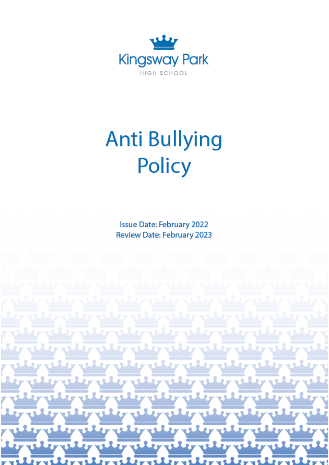

# **Anti Bullying** Policy

**Issue Date: February 2022** Review Date: February 2023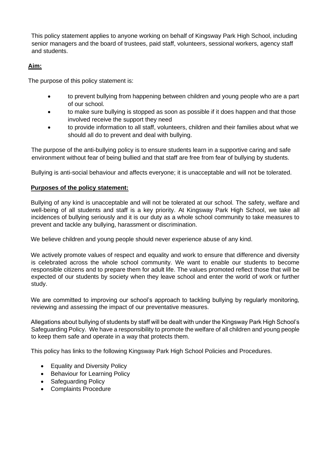This policy statement applies to anyone working on behalf of Kingsway Park High School, including senior managers and the board of trustees, paid staff, volunteers, sessional workers, agency staff and students.

# **Aim:**

The purpose of this policy statement is:

- to prevent bullying from happening between children and young people who are a part of our school.
- to make sure bullying is stopped as soon as possible if it does happen and that those involved receive the support they need
- to provide information to all staff, volunteers, children and their families about what we should all do to prevent and deal with bullying.

The purpose of the anti-bullying policy is to ensure students learn in a supportive caring and safe environment without fear of being bullied and that staff are free from fear of bullying by students.

Bullying is anti-social behaviour and affects everyone; it is unacceptable and will not be tolerated.

# **Purposes of the policy statement:**

Bullying of any kind is unacceptable and will not be tolerated at our school. The safety, welfare and well-being of all students and staff is a key priority. At Kingsway Park High School, we take all incidences of bullying seriously and it is our duty as a whole school community to take measures to prevent and tackle any bullying, harassment or discrimination.

We believe children and young people should never experience abuse of any kind.

We actively promote values of respect and equality and work to ensure that difference and diversity is celebrated across the whole school community. We want to enable our students to become responsible citizens and to prepare them for adult life. The values promoted reflect those that will be expected of our students by society when they leave school and enter the world of work or further study.

We are committed to improving our school's approach to tackling bullying by regularly monitoring, reviewing and assessing the impact of our preventative measures.

Allegations about bullying of students by staff will be dealt with under the Kingsway Park High School's Safeguarding Policy. We have a responsibility to promote the welfare of all children and young people to keep them safe and operate in a way that protects them.

This policy has links to the following Kingsway Park High School Policies and Procedures.

- Equality and Diversity Policy
- Behaviour for Learning Policy
- Safeguarding Policy
- Complaints Procedure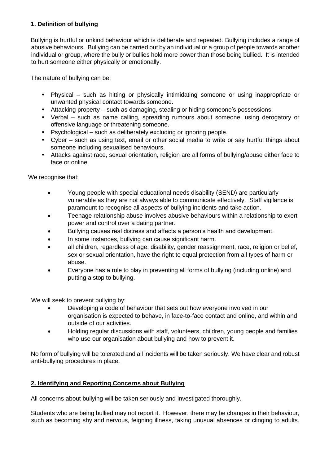# **1. Definition of bullying**

Bullying is hurtful or unkind behaviour which is deliberate and repeated. Bullying includes a range of abusive behaviours. Bullying can be carried out by an individual or a group of people towards another individual or group, where the bully or bullies hold more power than those being bullied. It is intended to hurt someone either physically or emotionally.

The nature of bullying can be:

- Physical such as hitting or physically intimidating someone or using inappropriate or unwanted physical contact towards someone.
- Attacking property such as damaging, stealing or hiding someone's possessions.
- Verbal such as name calling, spreading rumours about someone, using derogatory or offensive language or threatening someone.
- Psychological such as deliberately excluding or ignoring people.
- Cyber such as using text, email or other social media to write or say hurtful things about someone including sexualised behaviours.
- Attacks against race, sexual orientation, religion are all forms of bullying/abuse either face to face or online.

We recognise that:

- Young people with special educational needs disability (SEND) are particularly vulnerable as they are not always able to communicate effectively. Staff vigilance is paramount to recognise all aspects of bullying incidents and take action.
- Teenage relationship abuse involves abusive behaviours within a relationship to exert power and control over a dating partner.
- Bullying causes real distress and affects a person's health and development.
- In some instances, bullying can cause significant harm.
- all children, regardless of age, disability, gender reassignment, race, religion or belief, sex or sexual orientation, have the right to equal protection from all types of harm or abuse.
- Everyone has a role to play in preventing all forms of bullying (including online) and putting a stop to bullying.

We will seek to prevent bullying by:

- Developing a code of behaviour that sets out how everyone involved in our organisation is expected to behave, in face-to-face contact and online, and within and outside of our activities.
- Holding regular discussions with staff, volunteers, children, young people and families who use our organisation about bullying and how to prevent it.

No form of bullying will be tolerated and all incidents will be taken seriously. We have clear and robust anti-bullying procedures in place.

# **2. Identifying and Reporting Concerns about Bullying**

All concerns about bullying will be taken seriously and investigated thoroughly.

Students who are being bullied may not report it. However, there may be changes in their behaviour, such as becoming shy and nervous, feigning illness, taking unusual absences or clinging to adults.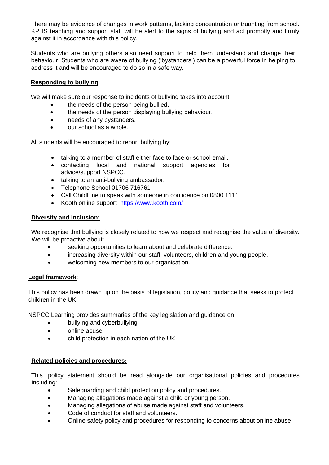There may be evidence of changes in work patterns, lacking concentration or truanting from school. KPHS teaching and support staff will be alert to the signs of bullying and act promptly and firmly against it in accordance with this policy.

Students who are bullying others also need support to help them understand and change their behaviour. Students who are aware of bullying ('bystanders') can be a powerful force in helping to address it and will be encouraged to do so in a safe way.

## **Responding to bullying**:

We will make sure our response to incidents of bullying takes into account:

- the needs of the person being bullied.
- the needs of the person displaying bullying behaviour.
- needs of any bystanders.
- our school as a whole.

All students will be encouraged to report bullying by:

- talking to a member of staff either face to face or school email.
- contacting local and national support agencies for advice/support NSPCC.
- talking to an anti-bullying ambassador.
- Telephone School 01706 716761
- Call ChildLine to speak with someone in confidence on 0800 1111
- Kooth online support <https://www.kooth.com/>

### **Diversity and Inclusion:**

We recognise that bullying is closely related to how we respect and recognise the value of diversity. We will be proactive about:

- seeking opportunities to learn about and celebrate difference.
- increasing diversity within our staff, volunteers, children and young people.
- welcoming new members to our organisation.

### **Legal framework**:

This policy has been drawn up on the basis of legislation, policy and guidance that seeks to protect children in the UK.

NSPCC Learning provides summaries of the key legislation and guidance on:

- bullying and cyberbullying
- online abuse
- child protection in each nation of the UK

### **Related policies and procedures:**

This policy statement should be read alongside our organisational policies and procedures including:

- Safeguarding and child protection policy and procedures.
- Managing allegations made against a child or young person.
- Managing allegations of abuse made against staff and volunteers.
- Code of conduct for staff and volunteers.
- Online safety policy and procedures for responding to concerns about online abuse.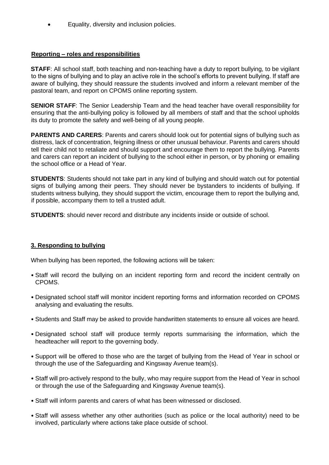• Equality, diversity and inclusion policies.

# **Reporting – roles and responsibilities**

**STAFF:** All school staff, both teaching and non-teaching have a duty to report bullying, to be vigilant to the signs of bullying and to play an active role in the school's efforts to prevent bullying. If staff are aware of bullying, they should reassure the students involved and inform a relevant member of the pastoral team, and report on CPOMS online reporting system.

**SENIOR STAFF**: The Senior Leadership Team and the head teacher have overall responsibility for ensuring that the anti‐bullying policy is followed by all members of staff and that the school upholds its duty to promote the safety and well‐being of all young people.

**PARENTS AND CARERS**: Parents and carers should look out for potential signs of bullying such as distress, lack of concentration, feigning illness or other unusual behaviour. Parents and carers should tell their child not to retaliate and should support and encourage them to report the bullying. Parents and carers can report an incident of bullying to the school either in person, or by phoning or emailing the school office or a Head of Year.

**STUDENTS**: Students should not take part in any kind of bullying and should watch out for potential signs of bullying among their peers. They should never be bystanders to incidents of bullying. If students witness bullying, they should support the victim, encourage them to report the bullying and, if possible, accompany them to tell a trusted adult.

**STUDENTS**: should never record and distribute any incidents inside or outside of school.

# **3. Responding to bullying**

When bullying has been reported, the following actions will be taken:

- Staff will record the bullying on an incident reporting form and record the incident centrally on CPOMS.
- Designated school staff will monitor incident reporting forms and information recorded on CPOMS analysing and evaluating the results.
- Students and Staff may be asked to provide handwritten statements to ensure all voices are heard.
- Designated school staff will produce termly reports summarising the information, which the headteacher will report to the governing body.
- Support will be offered to those who are the target of bullying from the Head of Year in school or through the use of the Safeguarding and Kingsway Avenue team(s).
- Staff will pro‐actively respond to the bully, who may require support from the Head of Year in school or through the use of the Safeguarding and Kingsway Avenue team(s).
- Staff will inform parents and carers of what has been witnessed or disclosed.
- Staff will assess whether any other authorities (such as police or the local authority) need to be involved, particularly where actions take place outside of school.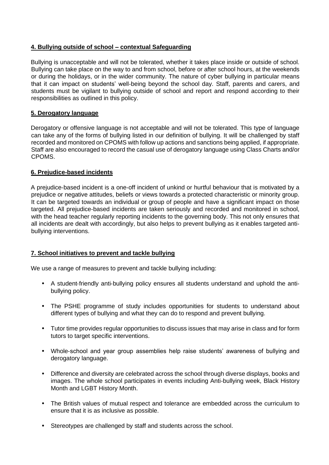## **4. Bullying outside of school – contextual Safeguarding**

Bullying is unacceptable and will not be tolerated, whether it takes place inside or outside of school. Bullying can take place on the way to and from school, before or after school hours, at the weekends or during the holidays, or in the wider community. The nature of cyber bullying in particular means that it can impact on students' well‐being beyond the school day. Staff, parents and carers, and students must be vigilant to bullying outside of school and report and respond according to their responsibilities as outlined in this policy.

## **5. Derogatory language**

Derogatory or offensive language is not acceptable and will not be tolerated. This type of language can take any of the forms of bullying listed in our definition of bullying. It will be challenged by staff recorded and monitored on CPOMS with follow up actions and sanctions being applied, if appropriate. Staff are also encouraged to record the casual use of derogatory language using Class Charts and/or CPOMS.

## **6. Prejudice**‐**based incidents**

A prejudice‐based incident is a one‐off incident of unkind or hurtful behaviour that is motivated by a prejudice or negative attitudes, beliefs or views towards a protected characteristic or minority group. It can be targeted towards an individual or group of people and have a significant impact on those targeted. All prejudice‐based incidents are taken seriously and recorded and monitored in school, with the head teacher regularly reporting incidents to the governing body. This not only ensures that all incidents are dealt with accordingly, but also helps to prevent bullying as it enables targeted anti‐ bullying interventions.

# **7. School initiatives to prevent and tackle bullying**

We use a range of measures to prevent and tackle bullying including:

- A student-friendly anti-bullying policy ensures all students understand and uphold the antibullying policy.
- The PSHE programme of study includes opportunities for students to understand about different types of bullying and what they can do to respond and prevent bullying.
- Tutor time provides regular opportunities to discuss issues that may arise in class and for form tutors to target specific interventions.
- Whole-school and year group assemblies help raise students' awareness of bullying and derogatory language.
- Difference and diversity are celebrated across the school through diverse displays, books and images. The whole school participates in events including Anti‐bullying week, Black History Month and LGBT History Month.
- The British values of mutual respect and tolerance are embedded across the curriculum to ensure that it is as inclusive as possible.
- Stereotypes are challenged by staff and students across the school.